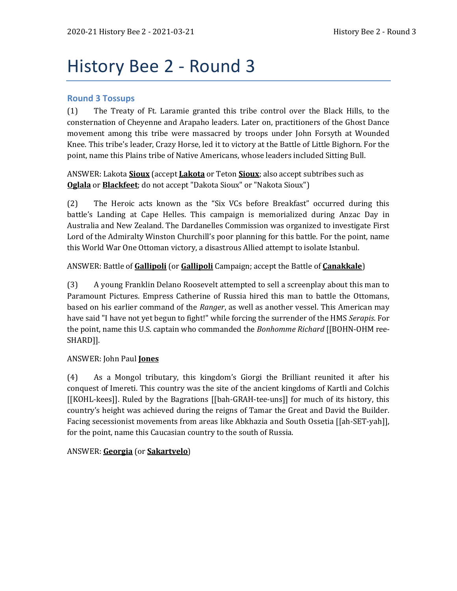# History Bee 2 - Round 3

## **Round 3 Tossups**

(1) The Treaty of Ft. Laramie granted this tribe control over the Black Hills, to the consternation of Cheyenne and Arapaho leaders. Later on, practitioners of the Ghost Dance movement among this tribe were massacred by troops under John Forsyth at Wounded Knee. This tribe's leader, Crazy Horse, led it to victory at the Battle of Little Bighorn. For the point, name this Plains tribe of Native Americans, whose leaders included Sitting Bull.

ANSWER: Lakota **Sioux** (accept **Lakota** or Teton **Sioux**; also accept subtribes such as **Oglala** or **Blackfeet**; do not accept "Dakota Sioux" or "Nakota Sioux")

(2) The Heroic acts known as the "Six VCs before Breakfast" occurred during this battle's Landing at Cape Helles. This campaign is memorialized during Anzac Day in Australia and New Zealand. The Dardanelles Commission was organized to investigate First Lord of the Admiralty Winston Churchill's poor planning for this battle. For the point, name this World War One Ottoman victory, a disastrous Allied attempt to isolate Istanbul.

#### ANSWER: Battle of **Gallipoli** (or **Gallipoli** Campaign; accept the Battle of **Çanakkale**)

(3) A young Franklin Delano Roosevelt attempted to sell a screenplay about this man to Paramount Pictures. Empress Catherine of Russia hired this man to battle the Ottomans, based on his earlier command of the *Ranger*, as well as another vessel. This American may have said "I have not yet begun to fight!" while forcing the surrender of the HMS *Serapis*. For the point, name this U.S. captain who commanded the *Bonhomme Richard* [[BOHN-OHM ree-SHARD]].

#### ANSWER: John Paul **Jones**

(4) As a Mongol tributary, this kingdom's Giorgi the Brilliant reunited it after his conquest of Imereti. This country was the site of the ancient kingdoms of Kartli and Colchis [[KOHL-kees]]. Ruled by the Bagrations [[bah-GRAH-tee-uns]] for much of its history, this country's height was achieved during the reigns of Tamar the Great and David the Builder. Facing secessionist movements from areas like Abkhazia and South Ossetia [[ah-SET-yah]], for the point, name this Caucasian country to the south of Russia.

#### ANSWER: **Georgia** (or **Sakartvelo**)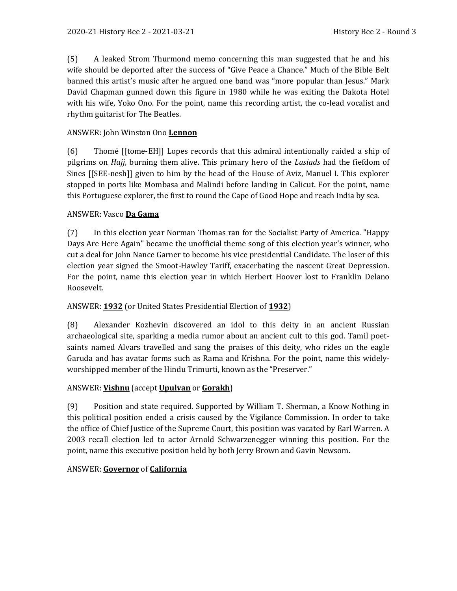(5) A leaked Strom Thurmond memo concerning this man suggested that he and his wife should be deported after the success of "Give Peace a Chance." Much of the Bible Belt banned this artist's music after he argued one band was "more popular than Jesus." Mark David Chapman gunned down this figure in 1980 while he was exiting the Dakota Hotel with his wife, Yoko Ono. For the point, name this recording artist, the co-lead vocalist and rhythm guitarist for The Beatles.

#### ANSWER: John Winston Ono **Lennon**

(6) Thomé [[tome-EH]] Lopes records that this admiral intentionally raided a ship of pilgrims on *Hajj*, burning them alive. This primary hero of the *Lusiads* had the fiefdom of Sines [[SEE-nesh]] given to him by the head of the House of Aviz, Manuel I. This explorer stopped in ports like Mombasa and Malindi before landing in Calicut. For the point, name this Portuguese explorer, the first to round the Cape of Good Hope and reach India by sea.

#### ANSWER: Vasco **Da Gama**

(7) In this election year Norman Thomas ran for the Socialist Party of America. "Happy Days Are Here Again" became the unofficial theme song of this election year's winner, who cut a deal for John Nance Garner to become his vice presidential Candidate. The loser of this election year signed the Smoot-Hawley Tariff, exacerbating the nascent Great Depression. For the point, name this election year in which Herbert Hoover lost to Franklin Delano Roosevelt.

#### ANSWER: **1932** (or United States Presidential Election of **1932**)

(8) Alexander Kozhevin discovered an idol to this deity in an ancient Russian archaeological site, sparking a media rumor about an ancient cult to this god. Tamil poetsaints named Alvars travelled and sang the praises of this deity, who rides on the eagle Garuda and has avatar forms such as Rama and Krishna. For the point, name this widelyworshipped member of the Hindu Trimurti, known as the "Preserver."

#### ANSWER: **Vishnu** (accept **Upulvan** or **Gorakh**)

(9) Position and state required. Supported by William T. Sherman, a Know Nothing in this political position ended a crisis caused by the Vigilance Commission. In order to take the office of Chief Justice of the Supreme Court, this position was vacated by Earl Warren. A 2003 recall election led to actor Arnold Schwarzenegger winning this position. For the point, name this executive position held by both Jerry Brown and Gavin Newsom.

#### ANSWER: **Governor** of **California**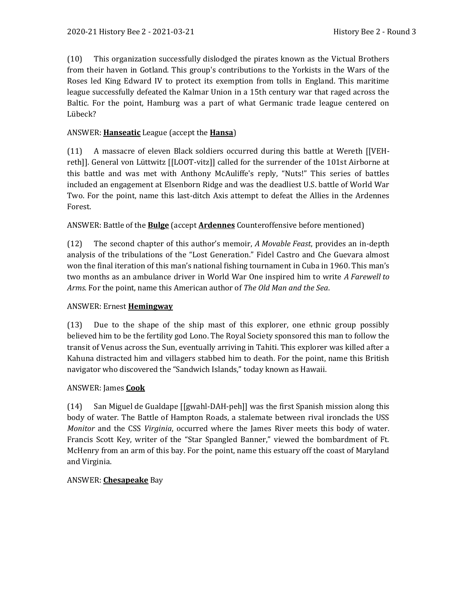(10) This organization successfully dislodged the pirates known as the Victual Brothers from their haven in Gotland. This group's contributions to the Yorkists in the Wars of the Roses led King Edward IV to protect its exemption from tolls in England. This maritime league successfully defeated the Kalmar Union in a 15th century war that raged across the Baltic. For the point, Hamburg was a part of what Germanic trade league centered on Lübeck?

#### ANSWER: **Hanseatic** League (accept the **Hansa**)

(11) A massacre of eleven Black soldiers occurred during this battle at Wereth [[VEHreth]]. General von Lüttwitz [[LOOT-vitz]] called for the surrender of the 101st Airborne at this battle and was met with Anthony McAuliffe's reply, "Nuts!" This series of battles included an engagement at Elsenborn Ridge and was the deadliest U.S. battle of World War Two. For the point, name this last-ditch Axis attempt to defeat the Allies in the Ardennes Forest.

#### ANSWER: Battle of the **Bulge** (accept **Ardennes** Counteroffensive before mentioned)

(12) The second chapter of this author's memoir, *A Movable Feast*, provides an in-depth analysis of the tribulations of the "Lost Generation." Fidel Castro and Che Guevara almost won the final iteration of this man's national fishing tournament in Cuba in 1960. This man's two months as an ambulance driver in World War One inspired him to write *A Farewell to Arms*. For the point, name this American author of *The Old Man and the Sea*.

#### ANSWER: Ernest **Hemingway**

(13) Due to the shape of the ship mast of this explorer, one ethnic group possibly believed him to be the fertility god Lono. The Royal Society sponsored this man to follow the transit of Venus across the Sun, eventually arriving in Tahiti. This explorer was killed after a Kahuna distracted him and villagers stabbed him to death. For the point, name this British navigator who discovered the "Sandwich Islands," today known as Hawaii.

#### ANSWER: James **Cook**

(14) San Miguel de Gualdape [[gwahl-DAH-peh]] was the first Spanish mission along this body of water. The Battle of Hampton Roads, a stalemate between rival ironclads the USS *Monitor* and the CSS *Virginia*, occurred where the James River meets this body of water. Francis Scott Key, writer of the "Star Spangled Banner," viewed the bombardment of Ft. McHenry from an arm of this bay. For the point, name this estuary off the coast of Maryland and Virginia.

#### ANSWER: **Chesapeake** Bay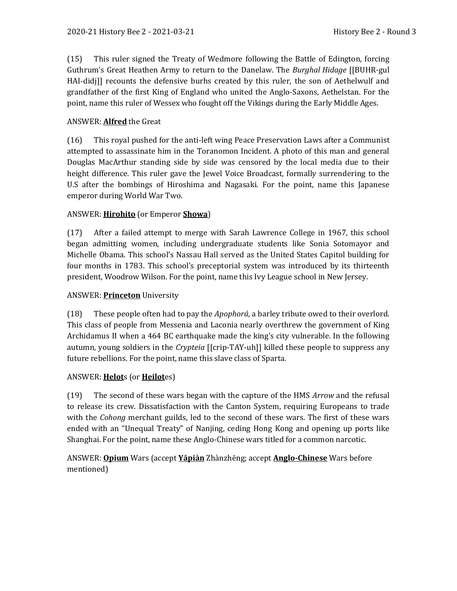(15) This ruler signed the Treaty of Wedmore following the Battle of Edington, forcing Guthrum's Great Heathen Army to return to the Danelaw. The *Burghal Hidage* [[BUHR-gul HAI-didj]] recounts the defensive burhs created by this ruler, the son of Aethelwulf and grandfather of the first King of England who united the Anglo-Saxons, Aethelstan. For the point, name this ruler of Wessex who fought off the Vikings during the Early Middle Ages.

#### ANSWER: **Alfred** the Great

(16) This royal pushed for the anti-left wing Peace Preservation Laws after a Communist attempted to assassinate him in the Toranomon Incident. A photo of this man and general Douglas MacArthur standing side by side was censored by the local media due to their height difference. This ruler gave the Jewel Voice Broadcast, formally surrendering to the U.S after the bombings of Hiroshima and Nagasaki. For the point, name this Japanese emperor during World War Two.

#### ANSWER: **Hirohito** (or Emperor **Showa**)

(17) After a failed attempt to merge with Sarah Lawrence College in 1967, this school began admitting women, including undergraduate students like Sonia Sotomayor and Michelle Obama. This school's Nassau Hall served as the United States Capitol building for four months in 1783. This school's preceptorial system was introduced by its thirteenth president, Woodrow Wilson. For the point, name this Ivy League school in New Jersey.

## ANSWER: **Princeton** University

(18) These people often had to pay the *Apophorá*, a barley tribute owed to their overlord. This class of people from Messenia and Laconia nearly overthrew the government of King Archidamus II when a 464 BC earthquake made the king's city vulnerable. In the following autumn, young soldiers in the *Crypteia* [[crip-TAY-uh]] killed these people to suppress any future rebellions. For the point, name this slave class of Sparta.

#### ANSWER: **Helot**s (or **Heilot**es)

(19) The second of these wars began with the capture of the HMS *Arrow* and the refusal to release its crew. Dissatisfaction with the Canton System, requiring Europeans to trade with the *Cohong* merchant guilds, led to the second of these wars. The first of these wars ended with an "Unequal Treaty" of Nanjing, ceding Hong Kong and opening up ports like Shanghai. For the point, name these Anglo-Chinese wars titled for a common narcotic.

## ANSWER: **Opium** Wars (accept **Yāpiàn** Zhànzhēng; accept **Anglo-Chinese** Wars before mentioned)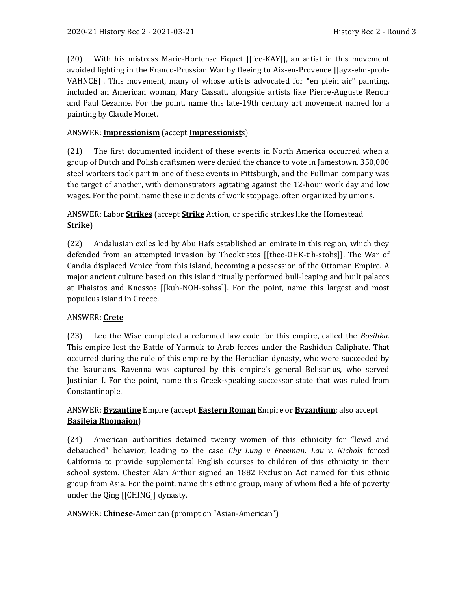(20) With his mistress Marie-Hortense Fiquet [[fee-KAY]], an artist in this movement avoided fighting in the Franco-Prussian War by fleeing to Aix-en-Provence [[ayz-ehn-proh-VAHNCE]]. This movement, many of whose artists advocated for "en plein air" painting, included an American woman, Mary Cassatt, alongside artists like Pierre-Auguste Renoir and Paul Cezanne. For the point, name this late-19th century art movement named for a painting by Claude Monet.

#### ANSWER: **Impressionism** (accept **Impressionist**s)

(21) The first documented incident of these events in North America occurred when a group of Dutch and Polish craftsmen were denied the chance to vote in Jamestown. 350,000 steel workers took part in one of these events in Pittsburgh, and the Pullman company was the target of another, with demonstrators agitating against the 12-hour work day and low wages. For the point, name these incidents of work stoppage, often organized by unions.

ANSWER: Labor **Strikes** (accept **Strike** Action, or specific strikes like the Homestead **Strike**)

(22) Andalusian exiles led by Abu Hafs established an emirate in this region, which they defended from an attempted invasion by Theoktistos [[thee-OHK-tih-stohs]]. The War of Candia displaced Venice from this island, becoming a possession of the Ottoman Empire. A major ancient culture based on this island ritually performed bull-leaping and built palaces at Phaistos and Knossos [[kuh-NOH-sohss]]. For the point, name this largest and most populous island in Greece.

#### ANSWER: **Crete**

(23) Leo the Wise completed a reformed law code for this empire, called the *Basilika*. This empire lost the Battle of Yarmuk to Arab forces under the Rashidun Caliphate. That occurred during the rule of this empire by the Heraclian dynasty, who were succeeded by the Isaurians. Ravenna was captured by this empire's general Belisarius, who served Justinian I. For the point, name this Greek-speaking successor state that was ruled from Constantinople.

## ANSWER: **Byzantine** Empire (accept **Eastern Roman** Empire or **Byzantium**; also accept **Basileia Rhomaion**)

(24) American authorities detained twenty women of this ethnicity for "lewd and debauched" behavior, leading to the case *Chy Lung v Freeman*. *Lau v. Nichols* forced California to provide supplemental English courses to children of this ethnicity in their school system. Chester Alan Arthur signed an 1882 Exclusion Act named for this ethnic group from Asia. For the point, name this ethnic group, many of whom fled a life of poverty under the Qing [[CHING]] dynasty.

#### ANSWER: **Chinese**-American (prompt on "Asian-American")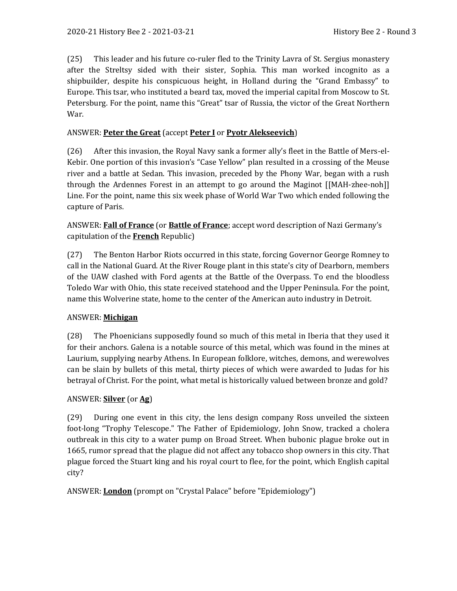(25) This leader and his future co-ruler fled to the Trinity Lavra of St. Sergius monastery after the Streltsy sided with their sister, Sophia. This man worked incognito as a shipbuilder, despite his conspicuous height, in Holland during the "Grand Embassy" to Europe. This tsar, who instituted a beard tax, moved the imperial capital from Moscow to St. Petersburg. For the point, name this "Great" tsar of Russia, the victor of the Great Northern War.

#### ANSWER: **Peter the Great** (accept **Peter I** or **Pyotr Alekseevich**)

(26) After this invasion, the Royal Navy sank a former ally's fleet in the Battle of Mers-el-Kebir. One portion of this invasion's "Case Yellow" plan resulted in a crossing of the Meuse river and a battle at Sedan. This invasion, preceded by the Phony War, began with a rush through the Ardennes Forest in an attempt to go around the Maginot [[MAH-zhee-noh]] Line. For the point, name this six week phase of World War Two which ended following the capture of Paris.

ANSWER: **Fall of France** (or **Battle of France**; accept word description of Nazi Germany's capitulation of the **French** Republic)

(27) The Benton Harbor Riots occurred in this state, forcing Governor George Romney to call in the National Guard. At the River Rouge plant in this state's city of Dearborn, members of the UAW clashed with Ford agents at the Battle of the Overpass. To end the bloodless Toledo War with Ohio, this state received statehood and the Upper Peninsula. For the point, name this Wolverine state, home to the center of the American auto industry in Detroit.

#### ANSWER: **Michigan**

(28) The Phoenicians supposedly found so much of this metal in Iberia that they used it for their anchors. Galena is a notable source of this metal, which was found in the mines at Laurium, supplying nearby Athens. In European folklore, witches, demons, and werewolves can be slain by bullets of this metal, thirty pieces of which were awarded to Judas for his betrayal of Christ. For the point, what metal is historically valued between bronze and gold?

#### ANSWER: **Silver** (or **Ag**)

(29) During one event in this city, the lens design company Ross unveiled the sixteen foot-long "Trophy Telescope." The Father of Epidemiology, John Snow, tracked a cholera outbreak in this city to a water pump on Broad Street. When bubonic plague broke out in 1665, rumor spread that the plague did not affect any tobacco shop owners in this city. That plague forced the Stuart king and his royal court to flee, for the point, which English capital city?

ANSWER: **London** (prompt on "Crystal Palace" before "Epidemiology")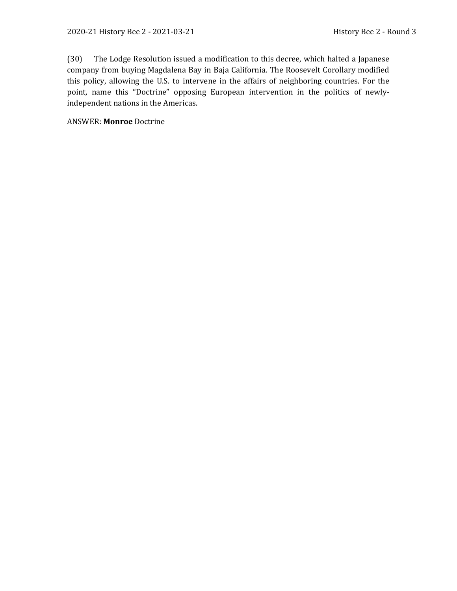(30) The Lodge Resolution issued a modification to this decree, which halted a Japanese company from buying Magdalena Bay in Baja California. The Roosevelt Corollary modified this policy, allowing the U.S. to intervene in the affairs of neighboring countries. For the point, name this "Doctrine" opposing European intervention in the politics of newlyindependent nations in the Americas.

ANSWER: **Monroe** Doctrine